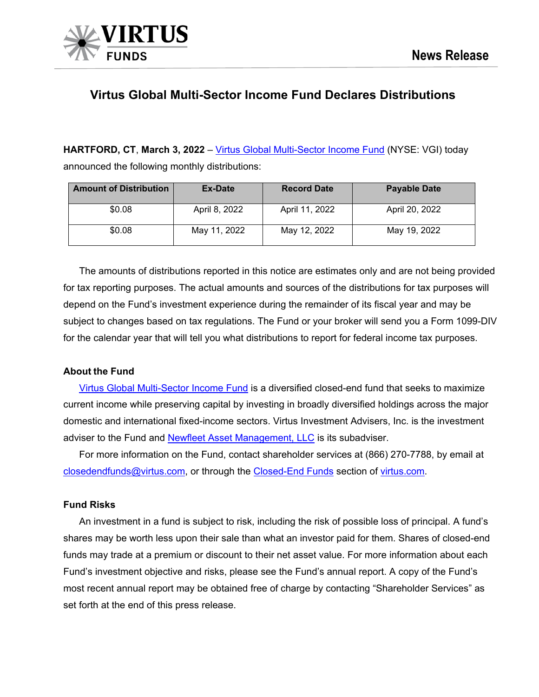

# **Virtus Global Multi-Sector Income Fund Declares Distributions**

**HARTFORD, CT**, **March 3, 2022** – [Virtus Global Multi-Sector Income Fund](https://www.virtus.com/products/virtus-global-multi-sector-income-fund#shareclass.N/period.quarterly) (NYSE: VGI) today announced the following monthly distributions:

| <b>Amount of Distribution</b> | Ex-Date       | <b>Record Date</b> | <b>Payable Date</b> |
|-------------------------------|---------------|--------------------|---------------------|
| \$0.08                        | April 8, 2022 | April 11, 2022     | April 20, 2022      |
| \$0.08                        | May 11, 2022  | May 12, 2022       | May 19, 2022        |

The amounts of distributions reported in this notice are estimates only and are not being provided for tax reporting purposes. The actual amounts and sources of the distributions for tax purposes will depend on the Fund's investment experience during the remainder of its fiscal year and may be subject to changes based on tax regulations. The Fund or your broker will send you a Form 1099-DIV for the calendar year that will tell you what distributions to report for federal income tax purposes.

## **About the Fund**

[Virtus Global Multi-Sector Income Fund](https://www.virtus.com/products/virtus-global-multi-sector-income-fund#shareclass.N/period.quarterly) is a diversified closed-end fund that seeks to maximize current income while preserving capital by investing in broadly diversified holdings across the major domestic and international fixed-income sectors. Virtus Investment Advisers, Inc. is the investment adviser to the Fund and [Newfleet Asset Management, LLC](https://www.newfleet.com/) is its subadviser.

For more information on the Fund, contact shareholder services at (866) 270-7788, by email at [closedendfunds@virtus.com,](mailto:closedendfunds@virtus.com) or through the [Closed-End Funds](https://www.virtus.com/our-products/individual-investors/closed-end-funds) section of [virtus.com.](https://www.virtus.com/#product.all/class.all)

### **Fund Risks**

An investment in a fund is subject to risk, including the risk of possible loss of principal. A fund's shares may be worth less upon their sale than what an investor paid for them. Shares of closed-end funds may trade at a premium or discount to their net asset value. For more information about each Fund's investment objective and risks, please see the Fund's annual report. A copy of the Fund's most recent annual report may be obtained free of charge by contacting "Shareholder Services" as set forth at the end of this press release.